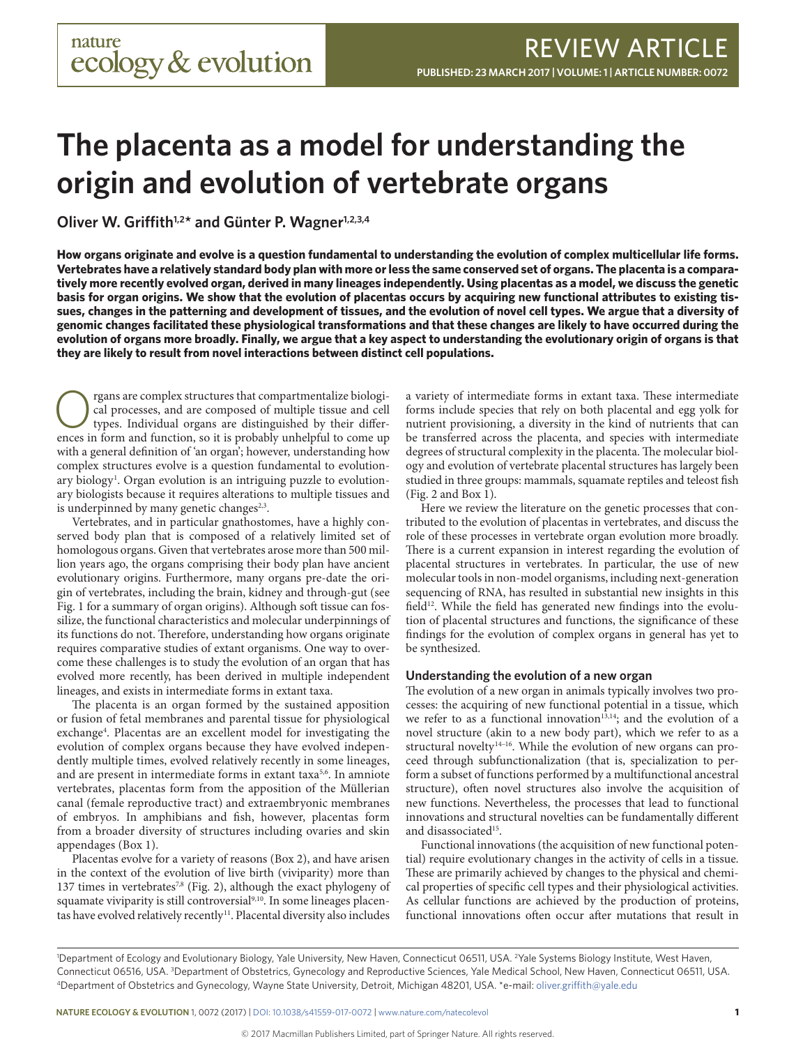# **The placenta as a model for understanding the origin and evolution of vertebrate organs**

Oliver W. Griffith<sup>1,2\*</sup> and Günter P. Wagner<sup>1,2,3,4</sup>

**How organs originate and evolve is a question fundamental to understanding the evolution of complex multicellular life forms. Vertebrates have a relatively standard body plan with more or less the same conserved set of organs. The placenta is a comparatively more recently evolved organ, derived in many lineages independently. Using placentas as a model, we discuss the genetic basis for organ origins. We show that the evolution of placentas occurs by acquiring new functional attributes to existing tissues, changes in the patterning and development of tissues, and the evolution of novel cell types. We argue that a diversity of genomic changes facilitated these physiological transformations and that these changes are likely to have occurred during the evolution of organs more broadly. Finally, we argue that a key aspect to understanding the evolutionary origin of organs is that they are likely to result from novel interactions between distinct cell populations.**

Corresponding to the complex structures that compartmentalize biological processes, and are composed of multiple tissue and cell types. Individual organs are distinguished by their differences in form and function so it is cal processes, and are composed of multiple tissue and cell ences in form and function, so it is probably unhelpful to come up with a general definition of 'an organ'; however, understanding how complex structures evolve is a question fundamental to evolutionary biology<sup>1</sup>. Organ evolution is an intriguing puzzle to evolutionary biologists because it requires alterations to multiple tissues and is underpinned by many genetic changes $2,3$ .

Vertebrates, and in particular gnathostomes, have a highly conserved body plan that is composed of a relatively limited set of homologous organs. Given that vertebrates arose more than 500 million years ago, the organs comprising their body plan have ancient evolutionary origins. Furthermore, many organs pre-date the origin of vertebrates, including the brain, kidney and through-gut (see Fig. 1 for a summary of organ origins). Although soft tissue can fossilize, the functional characteristics and molecular underpinnings of its functions do not. Therefore, understanding how organs originate requires comparative studies of extant organisms. One way to overcome these challenges is to study the evolution of an organ that has evolved more recently, has been derived in multiple independent lineages, and exists in intermediate forms in extant taxa.

The placenta is an organ formed by the sustained apposition or fusion of fetal membranes and parental tissue for physiological exchange<sup>4</sup>. Placentas are an excellent model for investigating the evolution of complex organs because they have evolved independently multiple times, evolved relatively recently in some lineages, and are present in intermediate forms in extant taxa<sup>5,6</sup>. In amniote vertebrates, placentas form from the apposition of the Müllerian canal (female reproductive tract) and extraembryonic membranes of embryos. In amphibians and fish, however, placentas form from a broader diversity of structures including ovaries and skin appendages (Box 1).

Placentas evolve for a variety of reasons (Box 2), and have arisen in the context of the evolution of live birth (viviparity) more than 137 times in vertebrates<sup>7,8</sup> (Fig. 2), although the exact phylogeny of squamate viviparity is still controversial<sup>9,10</sup>. In some lineages placentas have evolved relatively recently<sup>11</sup>. Placental diversity also includes

a variety of intermediate forms in extant taxa. These intermediate forms include species that rely on both placental and egg yolk for nutrient provisioning, a diversity in the kind of nutrients that can be transferred across the placenta, and species with intermediate degrees of structural complexity in the placenta. The molecular biology and evolution of vertebrate placental structures has largely been studied in three groups: mammals, squamate reptiles and teleost fish (Fig. 2 and Box 1).

Here we review the literature on the genetic processes that contributed to the evolution of placentas in vertebrates, and discuss the role of these processes in vertebrate organ evolution more broadly. There is a current expansion in interest regarding the evolution of placental structures in vertebrates. In particular, the use of new molecular tools in non-model organisms, including next-generation sequencing of RNA, has resulted in substantial new insights in this field $12$ . While the field has generated new findings into the evolution of placental structures and functions, the significance of these findings for the evolution of complex organs in general has yet to be synthesized.

### **Understanding the evolution of a new organ**

The evolution of a new organ in animals typically involves two processes: the acquiring of new functional potential in a tissue, which we refer to as a functional innovation<sup>13,14</sup>; and the evolution of a novel structure (akin to a new body part), which we refer to as a structural novelty<sup>14-16</sup>. While the evolution of new organs can proceed through subfunctionalization (that is, specialization to perform a subset of functions performed by a multifunctional ancestral structure), often novel structures also involve the acquisition of new functions. Nevertheless, the processes that lead to functional innovations and structural novelties can be fundamentally different and disassociated<sup>15</sup>.

Functional innovations (the acquisition of new functional potential) require evolutionary changes in the activity of cells in a tissue. These are primarily achieved by changes to the physical and chemical properties of specific cell types and their physiological activities. As cellular functions are achieved by the production of proteins, functional innovations often occur after mutations that result in

<sup>&</sup>lt;sup>1</sup>Department of Ecology and Evolutionary Biology, Yale University, New Haven, Connecticut 06511, USA. <sup>2</sup>Yale Systems Biology Institute, West Haven, Connecticut 06516, USA. <sup>3</sup>Department of Obstetrics, Gynecology and Reproductive Sciences, Yale Medical School, New Haven, Connecticut 06511, USA.<br><sup>4</sup>Department of Obstetrics and Gynecology, Wayne State University, Detroit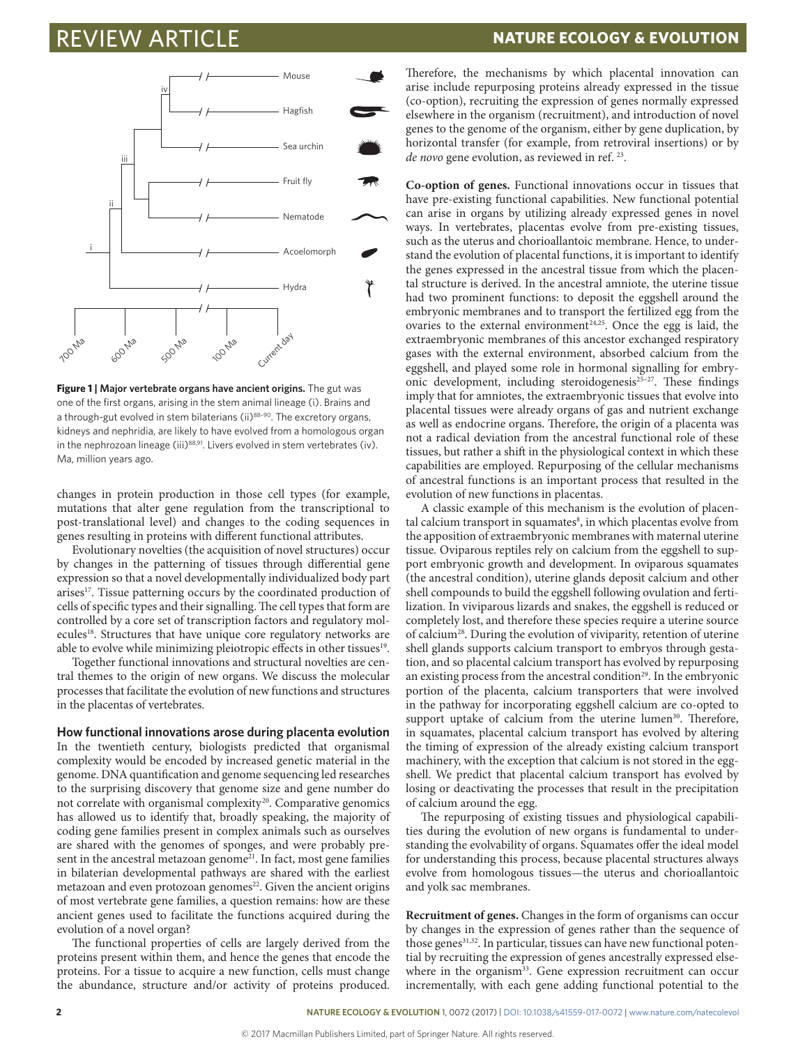

**Figure 1 | Major vertebrate organs have ancient origins.** The gut was one of the first organs, arising in the stem animal lineage (i). Brains and a through-gut evolved in stem bilaterians (ii)88-90. The excretory organs, kidneys and nephridia, are likely to have evolved from a homologous organ in the nephrozoan lineage (iii)<sup>88,91</sup>. Livers evolved in stem vertebrates (iv). Ma, million years ago.

changes in protein production in those cell types (for example, mutations that alter gene regulation from the transcriptional to post-translational level) and changes to the coding sequences in genes resulting in proteins with different functional attributes.

Evolutionary novelties (the acquisition of novel structures) occur by changes in the patterning of tissues through differential gene expression so that a novel developmentally individualized body part arises<sup>17</sup>. Tissue patterning occurs by the coordinated production of cells of specific types and their signalling. The cell types that form are controlled by a core set of transcription factors and regulatory molecules<sup>18</sup>. Structures that have unique core regulatory networks are able to evolve while minimizing pleiotropic effects in other tissues<sup>19</sup>.

Together functional innovations and structural novelties are central themes to the origin of new organs. We discuss the molecular processes that facilitate the evolution of new functions and structures in the placentas of vertebrates.

**How functional innovations arose during placenta evolution**

In the twentieth century, biologists predicted that organismal complexity would be encoded by increased genetic material in the genome. DNA quantification and genome sequencing led researches to the surprising discovery that genome size and gene number do not correlate with organismal complexity<sup>20</sup>. Comparative genomics has allowed us to identify that, broadly speaking, the majority of coding gene families present in complex animals such as ourselves are shared with the genomes of sponges, and were probably present in the ancestral metazoan genome<sup>21</sup>. In fact, most gene families in bilaterian developmental pathways are shared with the earliest metazoan and even protozoan genomes<sup>22</sup>. Given the ancient origins of most vertebrate gene families, a question remains: how are these ancient genes used to facilitate the functions acquired during the evolution of a novel organ?

The functional properties of cells are largely derived from the proteins present within them, and hence the genes that encode the proteins. For a tissue to acquire a new function, cells must change the abundance, structure and/or activity of proteins produced.

Therefore, the mechanisms by which placental innovation can arise include repurposing proteins already expressed in the tissue (co-option), recruiting the expression of genes normally expressed elsewhere in the organism (recruitment), and introduction of novel genes to the genome of the organism, either by gene duplication, by horizontal transfer (for example, from retroviral insertions) or by *de novo* gene evolution, as reviewed in ref. 23.

**Co-option of genes.** Functional innovations occur in tissues that have pre-existing functional capabilities. New functional potential can arise in organs by utilizing already expressed genes in novel ways. In vertebrates, placentas evolve from pre-existing tissues, such as the uterus and chorioallantoic membrane. Hence, to understand the evolution of placental functions, it is important to identify the genes expressed in the ancestral tissue from which the placental structure is derived. In the ancestral amniote, the uterine tissue had two prominent functions: to deposit the eggshell around the embryonic membranes and to transport the fertilized egg from the ovaries to the external environment<sup>24,25</sup>. Once the egg is laid, the extraembryonic membranes of this ancestor exchanged respiratory gases with the external environment, absorbed calcium from the eggshell, and played some role in hormonal signalling for embryonic development, including steroidogenesis<sup>25-27</sup>. These findings imply that for amniotes, the extraembryonic tissues that evolve into placental tissues were already organs of gas and nutrient exchange as well as endocrine organs. Therefore, the origin of a placenta was not a radical deviation from the ancestral functional role of these tissues, but rather a shift in the physiological context in which these capabilities are employed. Repurposing of the cellular mechanisms of ancestral functions is an important process that resulted in the evolution of new functions in placentas.

A classic example of this mechanism is the evolution of placental calcium transport in squamates<sup>8</sup>, in which placentas evolve from the apposition of extraembryonic membranes with maternal uterine tissue. Oviparous reptiles rely on calcium from the eggshell to support embryonic growth and development. In oviparous squamates (the ancestral condition), uterine glands deposit calcium and other shell compounds to build the eggshell following ovulation and fertilization. In viviparous lizards and snakes, the eggshell is reduced or completely lost, and therefore these species require a uterine source of calcium28. During the evolution of viviparity, retention of uterine shell glands supports calcium transport to embryos through gestation, and so placental calcium transport has evolved by repurposing an existing process from the ancestral condition<sup>29</sup>. In the embryonic portion of the placenta, calcium transporters that were involved in the pathway for incorporating eggshell calcium are co-opted to support uptake of calcium from the uterine lumen<sup>30</sup>. Therefore, in squamates, placental calcium transport has evolved by altering the timing of expression of the already existing calcium transport machinery, with the exception that calcium is not stored in the eggshell. We predict that placental calcium transport has evolved by losing or deactivating the processes that result in the precipitation of calcium around the egg.

The repurposing of existing tissues and physiological capabilities during the evolution of new organs is fundamental to understanding the evolvability of organs. Squamates offer the ideal model for understanding this process, because placental structures always evolve from homologous tissues—the uterus and chorioallantoic and yolk sac membranes.

**Recruitment of genes.** Changes in the form of organisms can occur by changes in the expression of genes rather than the sequence of those genes<sup>31,32</sup>. In particular, tissues can have new functional potential by recruiting the expression of genes ancestrally expressed elsewhere in the organism<sup>33</sup>. Gene expression recruitment can occur incrementally, with each gene adding functional potential to the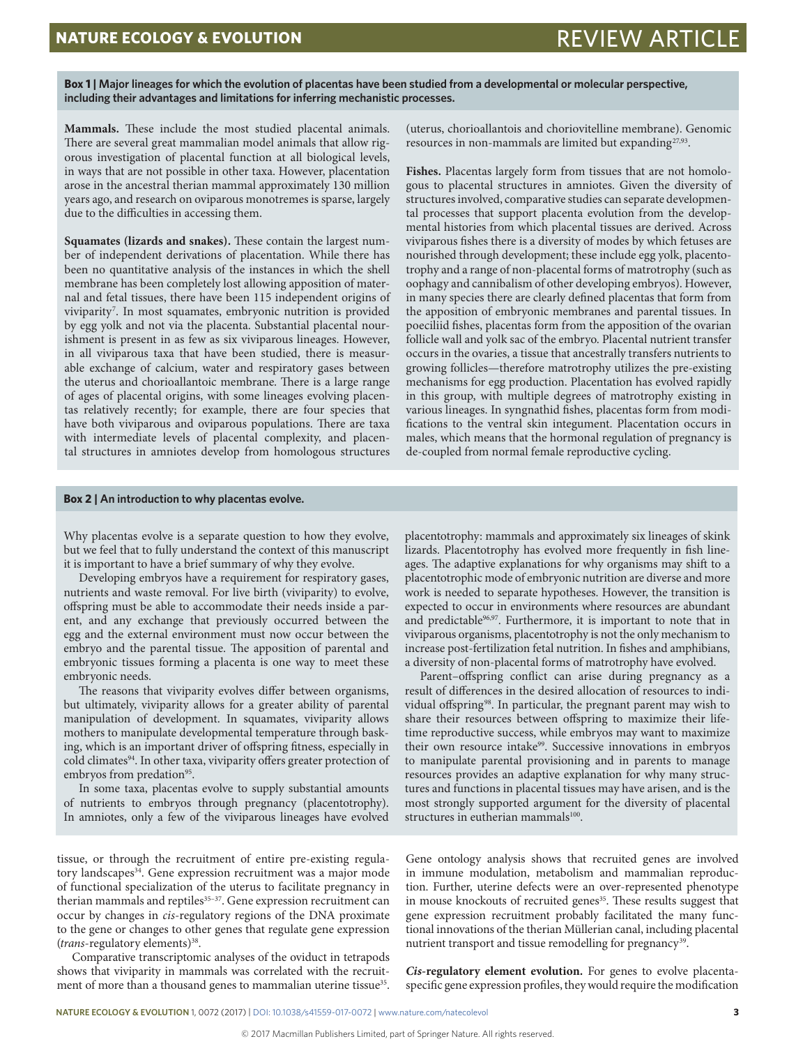**Box 1 | Major lineages for which the evolution of placentas have been studied from a developmental or molecular perspective, including their advantages and limitations for inferring mechanistic processes.**

**Mammals.** These include the most studied placental animals. There are several great mammalian model animals that allow rigorous investigation of placental function at all biological levels, in ways that are not possible in other taxa. However, placentation arose in the ancestral therian mammal approximately 130 million years ago, and research on oviparous monotremes is sparse, largely due to the difficulties in accessing them.

**Squamates (lizards and snakes).** These contain the largest number of independent derivations of placentation. While there has been no quantitative analysis of the instances in which the shell membrane has been completely lost allowing apposition of maternal and fetal tissues, there have been 115 independent origins of viviparity7 . In most squamates, embryonic nutrition is provided by egg yolk and not via the placenta. Substantial placental nourishment is present in as few as six viviparous lineages. However, in all viviparous taxa that have been studied, there is measurable exchange of calcium, water and respiratory gases between the uterus and chorioallantoic membrane. There is a large range of ages of placental origins, with some lineages evolving placentas relatively recently; for example, there are four species that have both viviparous and oviparous populations. There are taxa with intermediate levels of placental complexity, and placental structures in amniotes develop from homologous structures (uterus, chorioallantois and choriovitelline membrane). Genomic resources in non-mammals are limited but expanding<sup>27,93</sup>.

**Fishes.** Placentas largely form from tissues that are not homologous to placental structures in amniotes. Given the diversity of structures involved, comparative studies can separate developmental processes that support placenta evolution from the developmental histories from which placental tissues are derived. Across viviparous fishes there is a diversity of modes by which fetuses are nourished through development; these include egg yolk, placentotrophy and a range of non-placental forms of matrotrophy (such as oophagy and cannibalism of other developing embryos). However, in many species there are clearly defined placentas that form from the apposition of embryonic membranes and parental tissues. In poeciliid fishes, placentas form from the apposition of the ovarian follicle wall and yolk sac of the embryo. Placental nutrient transfer occurs in the ovaries, a tissue that ancestrally transfers nutrients to growing follicles—therefore matrotrophy utilizes the pre-existing mechanisms for egg production. Placentation has evolved rapidly in this group, with multiple degrees of matrotrophy existing in various lineages. In syngnathid fishes, placentas form from modifications to the ventral skin integument. Placentation occurs in males, which means that the hormonal regulation of pregnancy is de-coupled from normal female reproductive cycling.

### **Box 2 | An introduction to why placentas evolve.**

Why placentas evolve is a separate question to how they evolve, but we feel that to fully understand the context of this manuscript it is important to have a brief summary of why they evolve.

Developing embryos have a requirement for respiratory gases, nutrients and waste removal. For live birth (viviparity) to evolve, offspring must be able to accommodate their needs inside a parent, and any exchange that previously occurred between the egg and the external environment must now occur between the embryo and the parental tissue. The apposition of parental and embryonic tissues forming a placenta is one way to meet these embryonic needs.

The reasons that viviparity evolves differ between organisms, but ultimately, viviparity allows for a greater ability of parental manipulation of development. In squamates, viviparity allows mothers to manipulate developmental temperature through basking, which is an important driver of offspring fitness, especially in cold climates<sup>94</sup>. In other taxa, viviparity offers greater protection of embryos from predation<sup>95</sup>.

In some taxa, placentas evolve to supply substantial amounts of nutrients to embryos through pregnancy (placentotrophy). In amniotes, only a few of the viviparous lineages have evolved

placentotrophy: mammals and approximately six lineages of skink lizards. Placentotrophy has evolved more frequently in fish lineages. The adaptive explanations for why organisms may shift to a placentotrophic mode of embryonic nutrition are diverse and more work is needed to separate hypotheses. However, the transition is expected to occur in environments where resources are abundant and predictable<sup>96,97</sup>. Furthermore, it is important to note that in viviparous organisms, placentotrophy is not the only mechanism to increase post-fertilization fetal nutrition. In fishes and amphibians, a diversity of non-placental forms of matrotrophy have evolved.

Parent–offspring conflict can arise during pregnancy as a result of differences in the desired allocation of resources to individual offspring<sup>98</sup>. In particular, the pregnant parent may wish to share their resources between offspring to maximize their lifetime reproductive success, while embryos may want to maximize their own resource intake<sup>99</sup>. Successive innovations in embryos to manipulate parental provisioning and in parents to manage resources provides an adaptive explanation for why many structures and functions in placental tissues may have arisen, and is the most strongly supported argument for the diversity of placental structures in eutherian mammals<sup>100</sup>.

tissue, or through the recruitment of entire pre-existing regulatory landscapes<sup>34</sup>. Gene expression recruitment was a major mode of functional specialization of the uterus to facilitate pregnancy in therian mammals and reptiles<sup>35-37</sup>. Gene expression recruitment can occur by changes in *cis*-regulatory regions of the DNA proximate to the gene or changes to other genes that regulate gene expression (*trans*-regulatory elements)<sup>38</sup>.

Comparative transcriptomic analyses of the oviduct in tetrapods shows that viviparity in mammals was correlated with the recruitment of more than a thousand genes to mammalian uterine tissue<sup>35</sup>.

Gene ontology analysis shows that recruited genes are involved in immune modulation, metabolism and mammalian reproduction. Further, uterine defects were an over-represented phenotype in mouse knockouts of recruited genes<sup>35</sup>. These results suggest that gene expression recruitment probably facilitated the many functional innovations of the therian Müllerian canal, including placental nutrient transport and tissue remodelling for pregnancy<sup>39</sup>.

*Cis***-regulatory element evolution.** For genes to evolve placentaspecific gene expression profiles, they would require the modification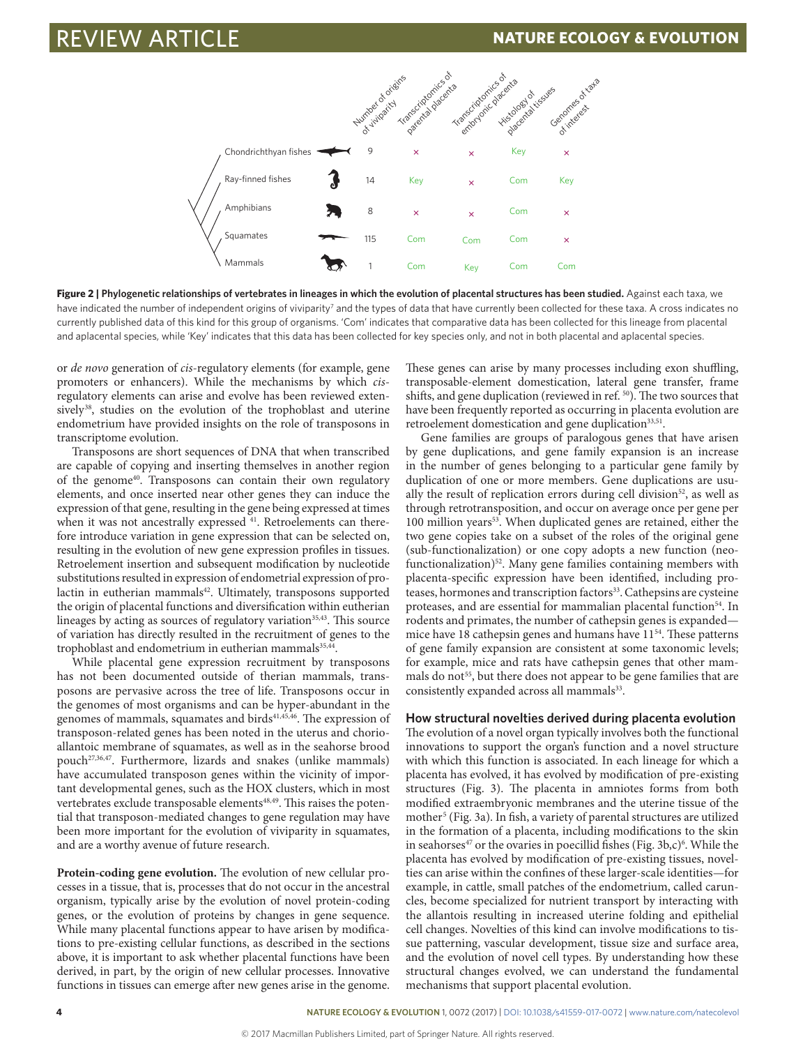

Figure 2 | Phylogenetic relationships of vertebrates in lineages in which the evolution of placental structures has been studied. Against each taxa, we have indicated the number of independent origins of viviparity<sup>7</sup> and the types of data that have currently been collected for these taxa. A cross indicates no currently published data of this kind for this group of organisms. 'Com' indicates that comparative data has been collected for this lineage from placental and aplacental species, while 'Key' indicates that this data has been collected for key species only, and not in both placental and aplacental species.

or *de novo* generation of *cis*-regulatory elements (for example, gene promoters or enhancers). While the mechanisms by which *cis*regulatory elements can arise and evolve has been reviewed extensively<sup>38</sup>, studies on the evolution of the trophoblast and uterine endometrium have provided insights on the role of transposons in transcriptome evolution.

Transposons are short sequences of DNA that when transcribed are capable of copying and inserting themselves in another region of the genome<sup>40</sup>. Transposons can contain their own regulatory elements, and once inserted near other genes they can induce the expression of that gene, resulting in the gene being expressed at times when it was not ancestrally expressed <sup>41</sup>. Retroelements can therefore introduce variation in gene expression that can be selected on, resulting in the evolution of new gene expression profiles in tissues. Retroelement insertion and subsequent modification by nucleotide substitutions resulted in expression of endometrial expression of prolactin in eutherian mammals<sup>42</sup>. Ultimately, transposons supported the origin of placental functions and diversification within eutherian lineages by acting as sources of regulatory variation $35,43$ . This source of variation has directly resulted in the recruitment of genes to the trophoblast and endometrium in eutherian mammals<sup>35,44</sup>.

While placental gene expression recruitment by transposons has not been documented outside of therian mammals, transposons are pervasive across the tree of life. Transposons occur in the genomes of most organisms and can be hyper-abundant in the genomes of mammals, squamates and birds<sup>41,45,46</sup>. The expression of transposon-related genes has been noted in the uterus and chorioallantoic membrane of squamates, as well as in the seahorse brood pouch<sup>27,36,47</sup>. Furthermore, lizards and snakes (unlike mammals) have accumulated transposon genes within the vicinity of important developmental genes, such as the HOX clusters, which in most vertebrates exclude transposable elements<sup>48,49</sup>. This raises the potential that transposon-mediated changes to gene regulation may have been more important for the evolution of viviparity in squamates, and are a worthy avenue of future research.

**Protein-coding gene evolution.** The evolution of new cellular processes in a tissue, that is, processes that do not occur in the ancestral organism, typically arise by the evolution of novel protein-coding genes, or the evolution of proteins by changes in gene sequence. While many placental functions appear to have arisen by modifications to pre-existing cellular functions, as described in the sections above, it is important to ask whether placental functions have been derived, in part, by the origin of new cellular processes. Innovative functions in tissues can emerge after new genes arise in the genome.

These genes can arise by many processes including exon shuffling, transposable-element domestication, lateral gene transfer, frame shifts, and gene duplication (reviewed in ref. 50). The two sources that have been frequently reported as occurring in placenta evolution are retroelement domestication and gene duplication<sup>33,51</sup>.

Gene families are groups of paralogous genes that have arisen by gene duplications, and gene family expansion is an increase in the number of genes belonging to a particular gene family by duplication of one or more members. Gene duplications are usually the result of replication errors during cell division<sup>52</sup>, as well as through retrotransposition, and occur on average once per gene per 100 million years<sup>53</sup>. When duplicated genes are retained, either the two gene copies take on a subset of the roles of the original gene (sub-functionalization) or one copy adopts a new function (neofunctionalization)<sup>52</sup>. Many gene families containing members with placenta-specific expression have been identified, including proteases, hormones and transcription factors<sup>33</sup>. Cathepsins are cysteine proteases, and are essential for mammalian placental function<sup>54</sup>. In rodents and primates, the number of cathepsin genes is expanded mice have 18 cathepsin genes and humans have 1154. These patterns of gene family expansion are consistent at some taxonomic levels; for example, mice and rats have cathepsin genes that other mammals do not<sup>55</sup>, but there does not appear to be gene families that are consistently expanded across all mammals<sup>33</sup>.

### **How structural novelties derived during placenta evolution**

The evolution of a novel organ typically involves both the functional innovations to support the organ's function and a novel structure with which this function is associated. In each lineage for which a placenta has evolved, it has evolved by modification of pre-existing structures (Fig. 3). The placenta in amniotes forms from both modified extraembryonic membranes and the uterine tissue of the mother<sup>5</sup> (Fig. 3a). In fish, a variety of parental structures are utilized in the formation of a placenta, including modifications to the skin in seahorses<sup>47</sup> or the ovaries in poecillid fishes (Fig. 3b,c)<sup>6</sup>. While the placenta has evolved by modification of pre-existing tissues, novelties can arise within the confines of these larger-scale identities—for example, in cattle, small patches of the endometrium, called caruncles, become specialized for nutrient transport by interacting with the allantois resulting in increased uterine folding and epithelial cell changes. Novelties of this kind can involve modifications to tissue patterning, vascular development, tissue size and surface area, and the evolution of novel cell types. By understanding how these structural changes evolved, we can understand the fundamental mechanisms that support placental evolution.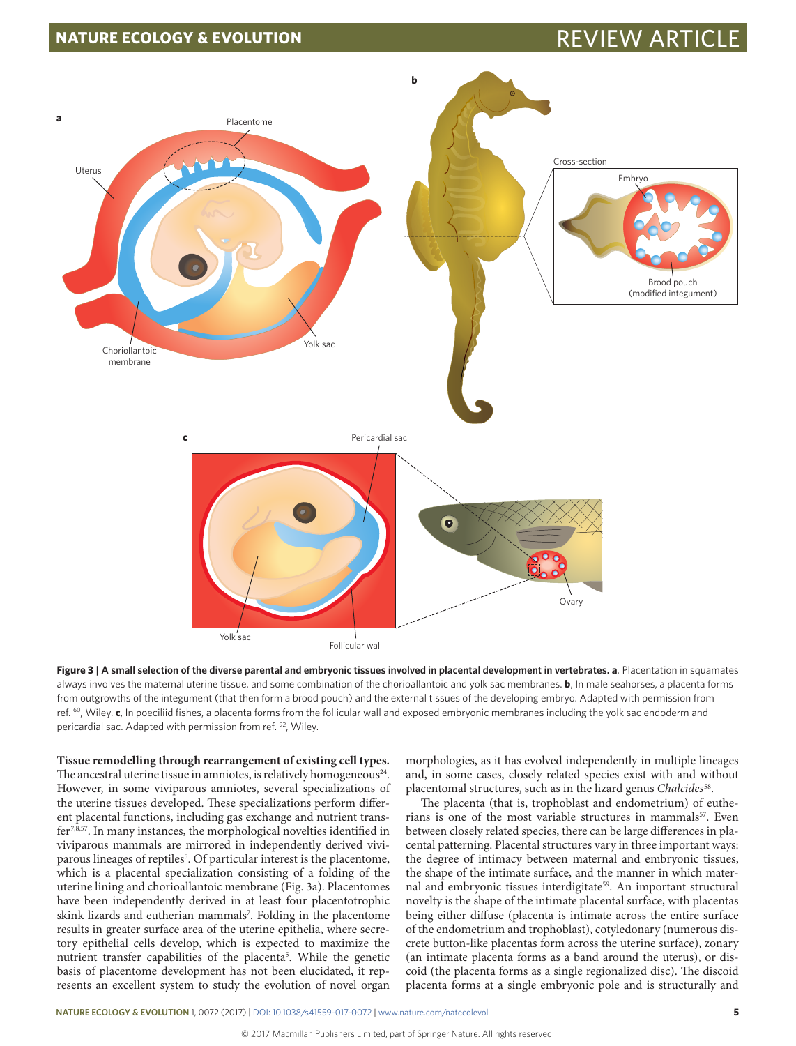# **NATURE ECOLOGY & EVOLUTION REVIEW ARTIC**



**Figure 3 | A small selection of the diverse parental and embryonic tissues involved in placental development in vertebrates. a**, Placentation in squamates always involves the maternal uterine tissue, and some combination of the chorioallantoic and yolk sac membranes. **b**, In male seahorses, a placenta forms from outgrowths of the integument (that then form a brood pouch) and the external tissues of the developing embryo. Adapted with permission from ref. 60, Wiley. **c**, In poeciliid fishes, a placenta forms from the follicular wall and exposed embryonic membranes including the yolk sac endoderm and pericardial sac. Adapted with permission from ref. 92, Wiley.

**Tissue remodelling through rearrangement of existing cell types.** The ancestral uterine tissue in amniotes, is relatively homogeneous<sup>24</sup>. However, in some viviparous amniotes, several specializations of the uterine tissues developed. These specializations perform different placental functions, including gas exchange and nutrient transfer7,8,57. In many instances, the morphological novelties identified in viviparous mammals are mirrored in independently derived viviparous lineages of reptiles<sup>5</sup>. Of particular interest is the placentome, which is a placental specialization consisting of a folding of the uterine lining and chorioallantoic membrane (Fig. 3a). Placentomes have been independently derived in at least four placentotrophic skink lizards and eutherian mammals<sup>7</sup>. Folding in the placentome results in greater surface area of the uterine epithelia, where secretory epithelial cells develop, which is expected to maximize the nutrient transfer capabilities of the placenta<sup>5</sup>. While the genetic basis of placentome development has not been elucidated, it represents an excellent system to study the evolution of novel organ morphologies, as it has evolved independently in multiple lineages and, in some cases, closely related species exist with and without placentomal structures, such as in the lizard genus *Chalcides*58.

The placenta (that is, trophoblast and endometrium) of eutherians is one of the most variable structures in mammals<sup>57</sup>. Even between closely related species, there can be large differences in placental patterning. Placental structures vary in three important ways: the degree of intimacy between maternal and embryonic tissues, the shape of the intimate surface, and the manner in which maternal and embryonic tissues interdigitate<sup>59</sup>. An important structural novelty is the shape of the intimate placental surface, with placentas being either diffuse (placenta is intimate across the entire surface of the endometrium and trophoblast), cotyledonary (numerous discrete button-like placentas form across the uterine surface), zonary (an intimate placenta forms as a band around the uterus), or discoid (the placenta forms as a single regionalized disc). The discoid placenta forms at a single embryonic pole and is structurally and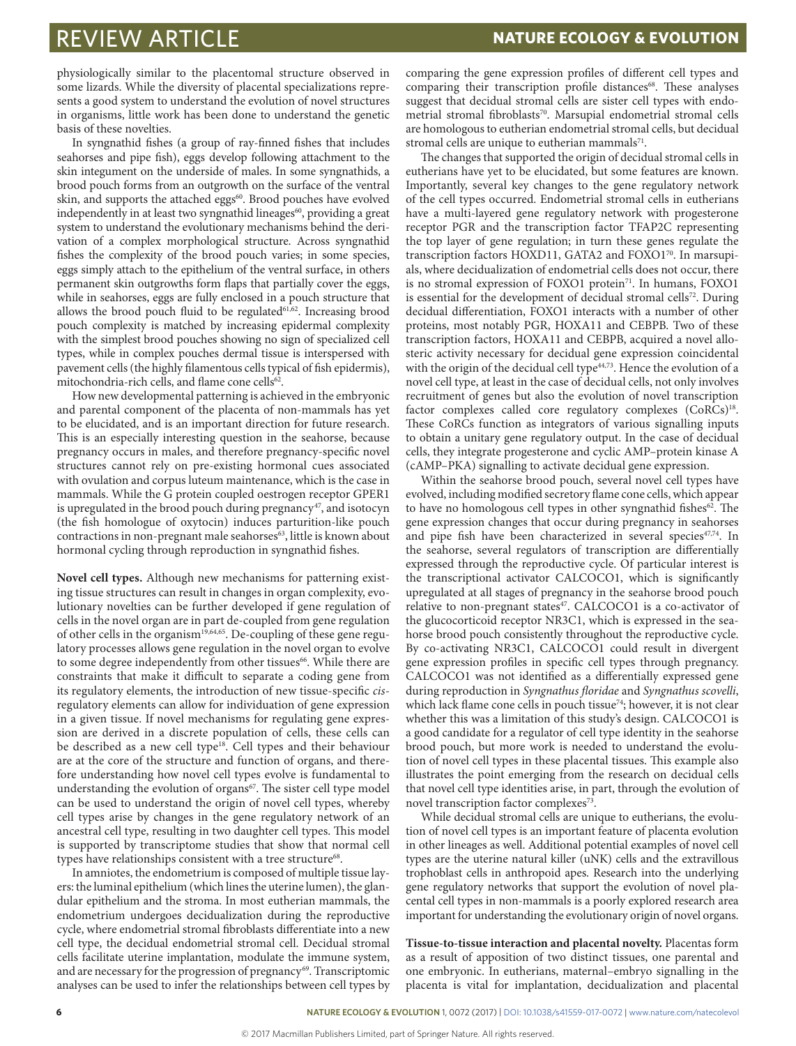physiologically similar to the placentomal structure observed in some lizards. While the diversity of placental specializations represents a good system to understand the evolution of novel structures in organisms, little work has been done to understand the genetic basis of these novelties.

In syngnathid fishes (a group of ray-finned fishes that includes seahorses and pipe fish), eggs develop following attachment to the skin integument on the underside of males. In some syngnathids, a brood pouch forms from an outgrowth on the surface of the ventral skin, and supports the attached eggs<sup>60</sup>. Brood pouches have evolved independently in at least two syngnathid lineages<sup>60</sup>, providing a great system to understand the evolutionary mechanisms behind the derivation of a complex morphological structure. Across syngnathid fishes the complexity of the brood pouch varies; in some species, eggs simply attach to the epithelium of the ventral surface, in others permanent skin outgrowths form flaps that partially cover the eggs, while in seahorses, eggs are fully enclosed in a pouch structure that allows the brood pouch fluid to be regulated $61,62$ . Increasing brood pouch complexity is matched by increasing epidermal complexity with the simplest brood pouches showing no sign of specialized cell types, while in complex pouches dermal tissue is interspersed with pavement cells (the highly filamentous cells typical of fish epidermis), mitochondria-rich cells, and flame cone cells<sup>62</sup>.

How new developmental patterning is achieved in the embryonic and parental component of the placenta of non-mammals has yet to be elucidated, and is an important direction for future research. This is an especially interesting question in the seahorse, because pregnancy occurs in males, and therefore pregnancy-specific novel structures cannot rely on pre-existing hormonal cues associated with ovulation and corpus luteum maintenance, which is the case in mammals. While the G protein coupled oestrogen receptor GPER1 is upregulated in the brood pouch during pregnancy<sup>47</sup>, and isotocyn (the fish homologue of oxytocin) induces parturition-like pouch contractions in non-pregnant male seahorses<sup>63</sup>, little is known about hormonal cycling through reproduction in syngnathid fishes.

**Novel cell types.** Although new mechanisms for patterning existing tissue structures can result in changes in organ complexity, evolutionary novelties can be further developed if gene regulation of cells in the novel organ are in part de-coupled from gene regulation of other cells in the organism<sup>19,64,65</sup>. De-coupling of these gene regulatory processes allows gene regulation in the novel organ to evolve to some degree independently from other tissues<sup>66</sup>. While there are constraints that make it difficult to separate a coding gene from its regulatory elements, the introduction of new tissue-specific *cis*regulatory elements can allow for individuation of gene expression in a given tissue. If novel mechanisms for regulating gene expression are derived in a discrete population of cells, these cells can be described as a new cell type<sup>18</sup>. Cell types and their behaviour are at the core of the structure and function of organs, and therefore understanding how novel cell types evolve is fundamental to understanding the evolution of organs<sup>67</sup>. The sister cell type model can be used to understand the origin of novel cell types, whereby cell types arise by changes in the gene regulatory network of an ancestral cell type, resulting in two daughter cell types. This model is supported by transcriptome studies that show that normal cell types have relationships consistent with a tree structure<sup>68</sup>.

In amniotes, the endometrium is composed of multiple tissue layers: the luminal epithelium (which lines the uterine lumen), the glandular epithelium and the stroma. In most eutherian mammals, the endometrium undergoes decidualization during the reproductive cycle, where endometrial stromal fibroblasts differentiate into a new cell type, the decidual endometrial stromal cell. Decidual stromal cells facilitate uterine implantation, modulate the immune system, and are necessary for the progression of pregnancy<sup>69</sup>. Transcriptomic analyses can be used to infer the relationships between cell types by

comparing the gene expression profiles of different cell types and comparing their transcription profile distances<sup>68</sup>. These analyses suggest that decidual stromal cells are sister cell types with endometrial stromal fibroblasts<sup>70</sup>. Marsupial endometrial stromal cells are homologous to eutherian endometrial stromal cells, but decidual stromal cells are unique to eutherian mammals<sup>71</sup>.

The changes that supported the origin of decidual stromal cells in eutherians have yet to be elucidated, but some features are known. Importantly, several key changes to the gene regulatory network of the cell types occurred. Endometrial stromal cells in eutherians have a multi-layered gene regulatory network with progesterone receptor PGR and the transcription factor TFAP2C representing the top layer of gene regulation; in turn these genes regulate the transcription factors HOXD11, GATA2 and FOXO1<sup>70</sup>. In marsupials, where decidualization of endometrial cells does not occur, there is no stromal expression of FOXO1 protein<sup>71</sup>. In humans, FOXO1 is essential for the development of decidual stromal cells<sup>72</sup>. During decidual differentiation, FOXO1 interacts with a number of other proteins, most notably PGR, HOXA11 and CEBPB. Two of these transcription factors, HOXA11 and CEBPB, acquired a novel allosteric activity necessary for decidual gene expression coincidental with the origin of the decidual cell type<sup>44,73</sup>. Hence the evolution of a novel cell type, at least in the case of decidual cells, not only involves recruitment of genes but also the evolution of novel transcription factor complexes called core regulatory complexes (CoRCs)<sup>18</sup>. These CoRCs function as integrators of various signalling inputs to obtain a unitary gene regulatory output. In the case of decidual cells, they integrate progesterone and cyclic AMP–protein kinase A (cAMP–PKA) signalling to activate decidual gene expression.

Within the seahorse brood pouch, several novel cell types have evolved, including modified secretory flame cone cells, which appear to have no homologous cell types in other syngnathid fishes $62$ . The gene expression changes that occur during pregnancy in seahorses and pipe fish have been characterized in several species<sup>47,74</sup>. In the seahorse, several regulators of transcription are differentially expressed through the reproductive cycle. Of particular interest is the transcriptional activator CALCOCO1, which is significantly upregulated at all stages of pregnancy in the seahorse brood pouch relative to non-pregnant states<sup>47</sup>. CALCOCO1 is a co-activator of the glucocorticoid receptor NR3C1, which is expressed in the seahorse brood pouch consistently throughout the reproductive cycle. By co-activating NR3C1, CALCOCO1 could result in divergent gene expression profiles in specific cell types through pregnancy. CALCOCO1 was not identified as a differentially expressed gene during reproduction in *Syngnathus floridae* and *Syngnathus scovelli*, which lack flame cone cells in pouch tissue<sup>74</sup>; however, it is not clear whether this was a limitation of this study's design. CALCOCO1 is a good candidate for a regulator of cell type identity in the seahorse brood pouch, but more work is needed to understand the evolution of novel cell types in these placental tissues. This example also illustrates the point emerging from the research on decidual cells that novel cell type identities arise, in part, through the evolution of novel transcription factor complexes<sup>73</sup>.

While decidual stromal cells are unique to eutherians, the evolution of novel cell types is an important feature of placenta evolution in other lineages as well. Additional potential examples of novel cell types are the uterine natural killer (uNK) cells and the extravillous trophoblast cells in anthropoid apes. Research into the underlying gene regulatory networks that support the evolution of novel placental cell types in non-mammals is a poorly explored research area important for understanding the evolutionary origin of novel organs.

**Tissue-to-tissue interaction and placental novelty.** Placentas form as a result of apposition of two distinct tissues, one parental and one embryonic. In eutherians, maternal–embryo signalling in the placenta is vital for implantation, decidualization and placental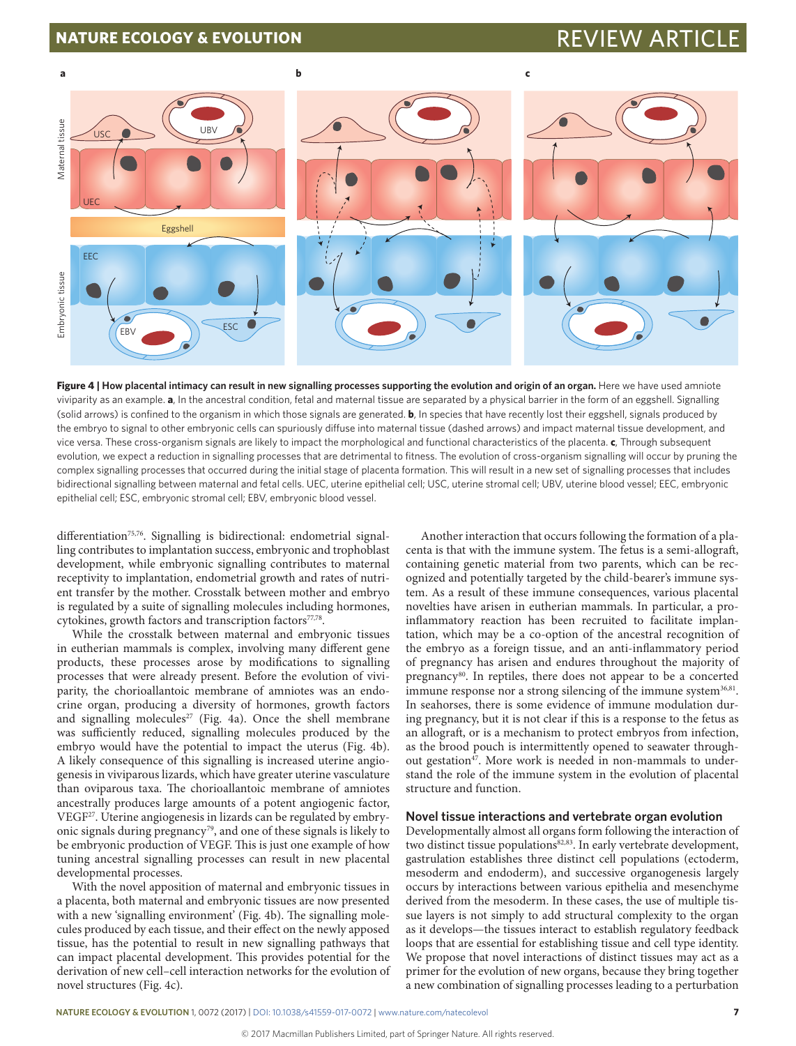## **NATURE ECOLOGY & EVOLUTION** REVIEW ARTICLE AND REVIEW ARTICLE



**Figure 4 | How placental intimacy can result in new signalling processes supporting the evolution and origin of an organ.** Here we have used amniote viviparity as an example. **a**, In the ancestral condition, fetal and maternal tissue are separated by a physical barrier in the form of an eggshell. Signalling (solid arrows) is confined to the organism in which those signals are generated. **b**, In species that have recently lost their eggshell, signals produced by the embryo to signal to other embryonic cells can spuriously diffuse into maternal tissue (dashed arrows) and impact maternal tissue development, and vice versa. These cross-organism signals are likely to impact the morphological and functional characteristics of the placenta. **c**, Through subsequent evolution, we expect a reduction in signalling processes that are detrimental to fitness. The evolution of cross-organism signalling will occur by pruning the complex signalling processes that occurred during the initial stage of placenta formation. This will result in a new set of signalling processes that includes bidirectional signalling between maternal and fetal cells. UEC, uterine epithelial cell; USC, uterine stromal cell; UBV, uterine blood vessel; EEC, embryonic epithelial cell; ESC, embryonic stromal cell; EBV, embryonic blood vessel.

differentiation<sup>75,76</sup>. Signalling is bidirectional: endometrial signalling contributes to implantation success, embryonic and trophoblast development, while embryonic signalling contributes to maternal receptivity to implantation, endometrial growth and rates of nutrient transfer by the mother. Crosstalk between mother and embryo is regulated by a suite of signalling molecules including hormones, cytokines, growth factors and transcription factors<sup>77,78</sup>.

While the crosstalk between maternal and embryonic tissues in eutherian mammals is complex, involving many different gene products, these processes arose by modifications to signalling processes that were already present. Before the evolution of viviparity, the chorioallantoic membrane of amniotes was an endocrine organ, producing a diversity of hormones, growth factors and signalling molecules<sup>27</sup> (Fig.  $4a$ ). Once the shell membrane was sufficiently reduced, signalling molecules produced by the embryo would have the potential to impact the uterus (Fig. 4b). A likely consequence of this signalling is increased uterine angiogenesis in viviparous lizards, which have greater uterine vasculature than oviparous taxa. The chorioallantoic membrane of amniotes ancestrally produces large amounts of a potent angiogenic factor, VEGF<sup>27</sup>. Uterine angiogenesis in lizards can be regulated by embryonic signals during pregnancy<sup>79</sup>, and one of these signals is likely to be embryonic production of VEGF. This is just one example of how tuning ancestral signalling processes can result in new placental developmental processes.

With the novel apposition of maternal and embryonic tissues in a placenta, both maternal and embryonic tissues are now presented with a new 'signalling environment' (Fig. 4b). The signalling molecules produced by each tissue, and their effect on the newly apposed tissue, has the potential to result in new signalling pathways that can impact placental development. This provides potential for the derivation of new cell–cell interaction networks for the evolution of novel structures (Fig. 4c).

Another interaction that occurs following the formation of a placenta is that with the immune system. The fetus is a semi-allograft, containing genetic material from two parents, which can be recognized and potentially targeted by the child-bearer's immune system. As a result of these immune consequences, various placental novelties have arisen in eutherian mammals. In particular, a proinflammatory reaction has been recruited to facilitate implantation, which may be a co-option of the ancestral recognition of the embryo as a foreign tissue, and an anti-inflammatory period of pregnancy has arisen and endures throughout the majority of pregnancy<sup>80</sup>. In reptiles, there does not appear to be a concerted immune response nor a strong silencing of the immune system<sup>36,81</sup>. In seahorses, there is some evidence of immune modulation during pregnancy, but it is not clear if this is a response to the fetus as an allograft, or is a mechanism to protect embryos from infection, as the brood pouch is intermittently opened to seawater throughout gestation<sup>47</sup>. More work is needed in non-mammals to understand the role of the immune system in the evolution of placental structure and function.

### **Novel tissue interactions and vertebrate organ evolution**

Developmentally almost all organs form following the interaction of two distinct tissue populations<sup>82,83</sup>. In early vertebrate development, gastrulation establishes three distinct cell populations (ectoderm, mesoderm and endoderm), and successive organogenesis largely occurs by interactions between various epithelia and mesenchyme derived from the mesoderm. In these cases, the use of multiple tissue layers is not simply to add structural complexity to the organ as it develops—the tissues interact to establish regulatory feedback loops that are essential for establishing tissue and cell type identity. We propose that novel interactions of distinct tissues may act as a primer for the evolution of new organs, because they bring together a new combination of signalling processes leading to a perturbation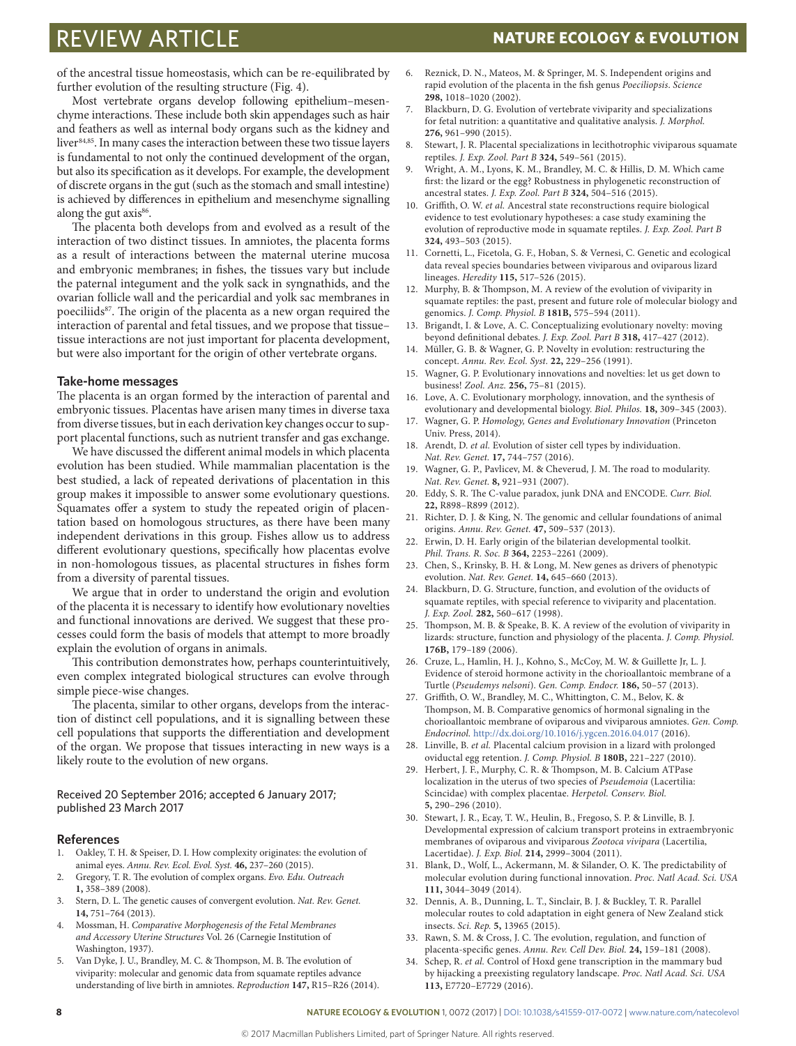of the ancestral tissue homeostasis, which can be re-equilibrated by further evolution of the resulting structure (Fig. 4).

Most vertebrate organs develop following epithelium–mesenchyme interactions. These include both skin appendages such as hair and feathers as well as internal body organs such as the kidney and liver<sup>84,85</sup>. In many cases the interaction between these two tissue layers is fundamental to not only the continued development of the organ, but also its specification as it develops. For example, the development of discrete organs in the gut (such as the stomach and small intestine) is achieved by differences in epithelium and mesenchyme signalling along the gut axis<sup>86</sup>.

The placenta both develops from and evolved as a result of the interaction of two distinct tissues. In amniotes, the placenta forms as a result of interactions between the maternal uterine mucosa and embryonic membranes; in fishes, the tissues vary but include the paternal integument and the yolk sack in syngnathids, and the ovarian follicle wall and the pericardial and yolk sac membranes in poeciliids<sup>87</sup>. The origin of the placenta as a new organ required the interaction of parental and fetal tissues, and we propose that tissue– tissue interactions are not just important for placenta development, but were also important for the origin of other vertebrate organs.

### **Take-home messages**

The placenta is an organ formed by the interaction of parental and embryonic tissues. Placentas have arisen many times in diverse taxa from diverse tissues, but in each derivation key changes occur to support placental functions, such as nutrient transfer and gas exchange.

We have discussed the different animal models in which placenta evolution has been studied. While mammalian placentation is the best studied, a lack of repeated derivations of placentation in this group makes it impossible to answer some evolutionary questions. Squamates offer a system to study the repeated origin of placentation based on homologous structures, as there have been many independent derivations in this group. Fishes allow us to address different evolutionary questions, specifically how placentas evolve in non-homologous tissues, as placental structures in fishes form from a diversity of parental tissues.

We argue that in order to understand the origin and evolution of the placenta it is necessary to identify how evolutionary novelties and functional innovations are derived. We suggest that these processes could form the basis of models that attempt to more broadly explain the evolution of organs in animals.

This contribution demonstrates how, perhaps counterintuitively, even complex integrated biological structures can evolve through simple piece-wise changes.

The placenta, similar to other organs, develops from the interaction of distinct cell populations, and it is signalling between these cell populations that supports the differentiation and development of the organ. We propose that tissues interacting in new ways is a likely route to the evolution of new organs.

Received 20 September 2016; accepted 6 January 2017; published 23 March 2017

### **References**

- 1. Oakley, T. H. & Speiser, D. I. How complexity originates: the evolution of animal eyes. *Annu. Rev. Ecol. Evol. Syst.* **46,** 237–260 (2015).
- 2. Gregory, T. R. The evolution of complex organs. *Evo. Edu. Outreach* **1,** 358–389 (2008).
- 3. Stern, D. L. The genetic causes of convergent evolution. *Nat. Rev. Genet.* **14,** 751–764 (2013).
- 4. Mossman, H. *Comparative Morphogenesis of the Fetal Membranes and Accessory Uterine Structures* Vol. 26 (Carnegie Institution of Washington, 1937).
- 5. Van Dyke, J. U., Brandley, M. C. & Thompson, M. B. The evolution of viviparity: molecular and genomic data from squamate reptiles advance understanding of live birth in amniotes. *Reproduction* **147,** R15–R26 (2014).
- 6. Reznick, D. N., Mateos, M. & Springer, M. S. Independent origins and rapid evolution of the placenta in the fish genus *Poeciliopsis*. *Science* **298,** 1018–1020 (2002).
- 7. Blackburn, D. G. Evolution of vertebrate viviparity and specializations for fetal nutrition: a quantitative and qualitative analysis. *J. Morphol.* **276,** 961–990 (2015).
- 8. Stewart, J. R. Placental specializations in lecithotrophic viviparous squamate reptiles. *J. Exp. Zool. Part B* **324,** 549–561 (2015).
- 9. Wright, A. M., Lyons, K. M., Brandley, M. C. & Hillis, D. M. Which came first: the lizard or the egg? Robustness in phylogenetic reconstruction of ancestral states. *J. Exp. Zool. Part B* **324,** 504–516 (2015).
- 10. Griffith, O. W. *et al.* Ancestral state reconstructions require biological evidence to test evolutionary hypotheses: a case study examining the evolution of reproductive mode in squamate reptiles. *J. Exp. Zool. Part B* **324,** 493–503 (2015).
- 11. Cornetti, L., Ficetola, G. F., Hoban, S. & Vernesi, C. Genetic and ecological data reveal species boundaries between viviparous and oviparous lizard lineages. *Heredity* **115,** 517–526 (2015).
- 12. Murphy, B. & Thompson, M. A review of the evolution of viviparity in squamate reptiles: the past, present and future role of molecular biology and genomics. *J. Comp. Physiol. B* **181B,** 575–594 (2011).
- 13. Brigandt, I. & Love, A. C. Conceptualizing evolutionary novelty: moving beyond definitional debates. *J. Exp. Zool. Part B* **318,** 417–427 (2012).
- 14. Müller, G. B. & Wagner, G. P. Novelty in evolution: restructuring the concept. *Annu. Rev. Ecol. Syst.* **22,** 229–256 (1991).
- 15. Wagner, G. P. Evolutionary innovations and novelties: let us get down to business! *Zool. Anz.* **256,** 75–81 (2015).
- 16. Love, A. C. Evolutionary morphology, innovation, and the synthesis of evolutionary and developmental biology. *Biol. Philos.* **18,** 309–345 (2003).
- 17. Wagner, G. P. *Homology, Genes and Evolutionary Innovation* (Princeton Univ. Press, 2014).
- 18. Arendt, D. *et al.* Evolution of sister cell types by individuation. *Nat. Rev. Genet.* **17,** 744–757 (2016).
- 19. Wagner, G. P., Pavlicev, M. & Cheverud, J. M. The road to modularity. *Nat. Rev. Genet.* **8,** 921–931 (2007).
- 20. Eddy, S. R. The C-value paradox, junk DNA and ENCODE. *Curr. Biol.* **22,** R898–R899 (2012).
- 21. Richter, D. J. & King, N. The genomic and cellular foundations of animal origins. *Annu. Rev. Genet.* **47,** 509–537 (2013).
- 22. Erwin, D. H. Early origin of the bilaterian developmental toolkit. *Phil. Trans. R. Soc. B* **364,** 2253–2261 (2009).
- 23. Chen, S., Krinsky, B. H. & Long, M. New genes as drivers of phenotypic evolution. *Nat. Rev. Genet.* **14,** 645–660 (2013).
- 24. Blackburn, D. G. Structure, function, and evolution of the oviducts of squamate reptiles, with special reference to viviparity and placentation. *J. Exp. Zool.* **282,** 560–617 (1998).
- 25. Thompson, M. B. & Speake, B. K. A review of the evolution of viviparity in lizards: structure, function and physiology of the placenta. *J. Comp. Physiol.* **176B,** 179–189 (2006).
- 26. Cruze, L., Hamlin, H. J., Kohno, S., McCoy, M. W. & Guillette Jr, L. J. Evidence of steroid hormone activity in the chorioallantoic membrane of a Turtle (*Pseudemys nelsoni*). *Gen. Comp. Endocr.* **186,** 50–57 (2013).
- 27. Griffith, O. W., Brandley, M. C., Whittington, C. M., Belov, K. & Thompson, M. B. Comparative genomics of hormonal signaling in the chorioallantoic membrane of oviparous and viviparous amniotes. *Gen. Comp. Endocrinol.* <http://dx.doi.org/10.1016/j.ygcen.2016.04.017> (2016).
- 28. Linville, B. *et al.* Placental calcium provision in a lizard with prolonged oviductal egg retention. *J. Comp. Physiol. B* **180B,** 221–227 (2010).
- 29. Herbert, J. F., Murphy, C. R. & Thompson, M. B. Calcium ATPase localization in the uterus of two species of *Pseudemoia* (Lacertilia: Scincidae) with complex placentae. *Herpetol. Conserv. Biol.* **5,** 290–296 (2010).
- 30. Stewart, J. R., Ecay, T. W., Heulin, B., Fregoso, S. P. & Linville, B. J. Developmental expression of calcium transport proteins in extraembryonic membranes of oviparous and viviparous *Zootoca vivipara* (Lacertilia, Lacertidae). *J. Exp. Biol.* **214,** 2999–3004 (2011).
- 31. Blank, D., Wolf, L., Ackermann, M. & Silander, O. K. The predictability of molecular evolution during functional innovation. *Proc. Natl Acad. Sci. USA* **111,** 3044–3049 (2014).
- 32. Dennis, A. B., Dunning, L. T., Sinclair, B. J. & Buckley, T. R. Parallel molecular routes to cold adaptation in eight genera of New Zealand stick insects. *Sci. Rep.* **5,** 13965 (2015).
- 33. Rawn, S. M. & Cross, J. C. The evolution, regulation, and function of placenta-specific genes. *Annu. Rev. Cell Dev. Biol.* **24,** 159–181 (2008).
- 34. Schep, R. *et al.* Control of Hoxd gene transcription in the mammary bud by hijacking a preexisting regulatory landscape. *Proc. Natl Acad. Sci. USA* **113,** E7720–E7729 (2016).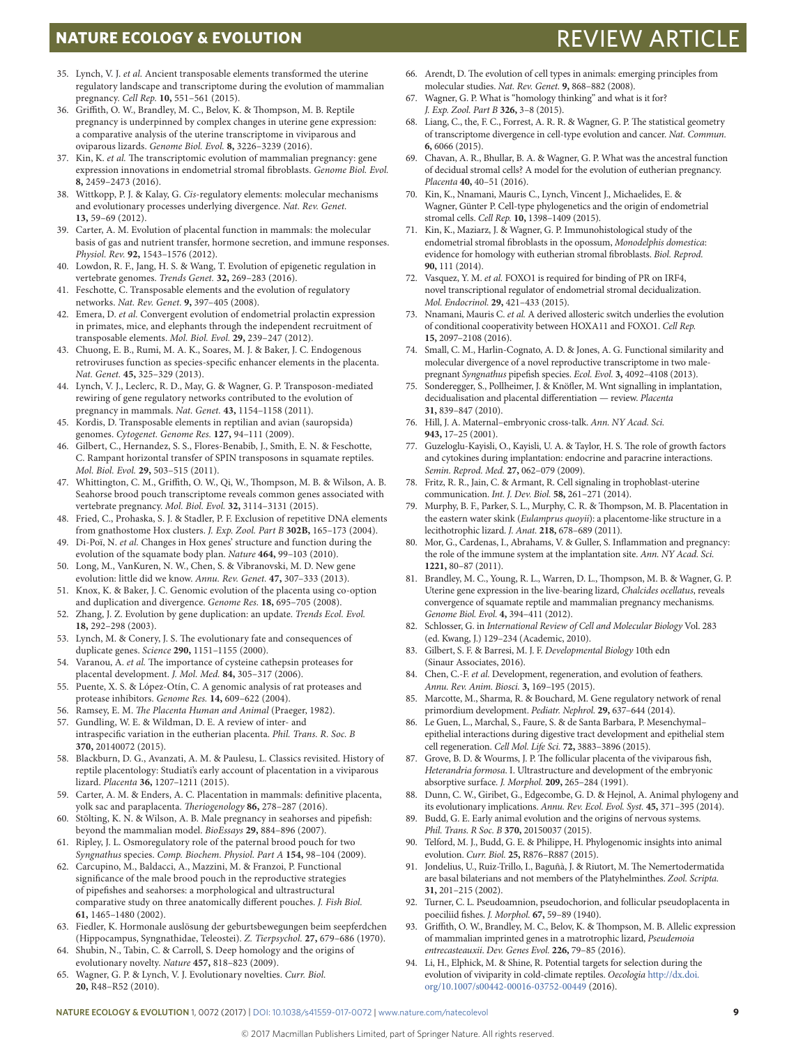# **NATURE ECOLOGY & EVOLUTION REVIEW ARTICLE**

- 35. Lynch, V. J. *et al.* Ancient transposable elements transformed the uterine regulatory landscape and transcriptome during the evolution of mammalian pregnancy. *Cell Rep.* **10,** 551–561 (2015).
- 36. Griffith, O. W., Brandley, M. C., Belov, K. & Thompson, M. B. Reptile pregnancy is underpinned by complex changes in uterine gene expression: a comparative analysis of the uterine transcriptome in viviparous and oviparous lizards. *Genome Biol. Evol.* **8,** 3226–3239 (2016).
- 37. Kin, K. *et al.* The transcriptomic evolution of mammalian pregnancy: gene expression innovations in endometrial stromal fibroblasts. *Genome Biol. Evol.* **8,** 2459–2473 (2016).
- 38. Wittkopp, P. J. & Kalay, G. *Cis*-regulatory elements: molecular mechanisms and evolutionary processes underlying divergence. *Nat. Rev. Genet.* **13,** 59–69 (2012).
- 39. Carter, A. M. Evolution of placental function in mammals: the molecular basis of gas and nutrient transfer, hormone secretion, and immune responses. *Physiol. Rev.* **92,** 1543–1576 (2012).
- 40. Lowdon, R. F., Jang, H. S. & Wang, T. Evolution of epigenetic regulation in vertebrate genomes. *Trends Genet.* **32,** 269–283 (2016).
- 41. Feschotte, C. Transposable elements and the evolution of regulatory networks. *Nat. Rev. Genet.* **9,** 397–405 (2008).
- 42. Emera, D. *et al.* Convergent evolution of endometrial prolactin expression in primates, mice, and elephants through the independent recruitment of transposable elements. *Mol. Biol. Evol.* **29,** 239–247 (2012).
- 43. Chuong, E. B., Rumi, M. A. K., Soares, M. J. & Baker, J. C. Endogenous retroviruses function as species-specific enhancer elements in the placenta. *Nat. Genet.* **45,** 325–329 (2013).
- 44. Lynch, V. J., Leclerc, R. D., May, G. & Wagner, G. P. Transposon-mediated rewiring of gene regulatory networks contributed to the evolution of pregnancy in mammals. *Nat. Genet.* **43,** 1154–1158 (2011).
- 45. Kordis, D. Transposable elements in reptilian and avian (sauropsida) genomes. *Cytogenet. Genome Res.* **127,** 94–111 (2009).
- 46. Gilbert, C., Hernandez, S. S., Flores-Benabib, J., Smith, E. N. & Feschotte, C. Rampant horizontal transfer of SPIN transposons in squamate reptiles. *Mol. Biol. Evol.* **29,** 503–515 (2011).
- 47. Whittington, C. M., Griffith, O. W., Qi, W., Thompson, M. B. & Wilson, A. B. Seahorse brood pouch transcriptome reveals common genes associated with vertebrate pregnancy. *Mol. Biol. Evol.* **32,** 3114–3131 (2015).
- 48. Fried, C., Prohaska, S. J. & Stadler, P. F. Exclusion of repetitive DNA elements from gnathostome Hox clusters. *J. Exp. Zool. Part B* **302B,** 165–173 (2004).
- 49. Di-Poï, N. *et al.* Changes in Hox genes' structure and function during the evolution of the squamate body plan. *Nature* **464,** 99–103 (2010).
- 50. Long, M., VanKuren, N. W., Chen, S. & Vibranovski, M. D. New gene evolution: little did we know. *Annu. Rev. Genet.* **47,** 307–333 (2013).
- 51. Knox, K. & Baker, J. C. Genomic evolution of the placenta using co-option and duplication and divergence. *Genome Res.* **18,** 695–705 (2008).
- 52. Zhang, J. Z. Evolution by gene duplication: an update. *Trends Ecol. Evol.* **18,** 292–298 (2003).
- 53. Lynch, M. & Conery, J. S. The evolutionary fate and consequences of duplicate genes. *Science* **290,** 1151–1155 (2000).
- Varanou, A. et al. The importance of cysteine cathepsin proteases for placental development. *J. Mol. Med.* **84,** 305–317 (2006).
- 55. Puente, X. S. & López-Otín, C. A genomic analysis of rat proteases and protease inhibitors. *Genome Res.* **14,** 609–622 (2004).
- 56. Ramsey, E. M. *The Placenta Human and Animal* (Praeger, 1982).
- 57. Gundling, W. E. & Wildman, D. E. A review of inter- and intraspecific variation in the eutherian placenta. *Phil. Trans. R. Soc. B* **370,** 20140072 (2015).
- 58. Blackburn, D. G., Avanzati, A. M. & Paulesu, L. Classics revisited. History of reptile placentology: Studiati's early account of placentation in a viviparous lizard. *Placenta* **36,** 1207–1211 (2015).
- 59. Carter, A. M. & Enders, A. C. Placentation in mammals: definitive placenta, yolk sac and paraplacenta. *Theriogenology* **86,** 278–287 (2016).
- 60. Stölting, K. N. & Wilson, A. B. Male pregnancy in seahorses and pipefish: beyond the mammalian model. *BioEssays* **29,** 884–896 (2007).
- 61. Ripley, J. L. Osmoregulatory role of the paternal brood pouch for two *Syngnathus* species. *Comp. Biochem. Physiol. Part A* **154,** 98–104 (2009).
- 62. Carcupino, M., Baldacci, A., Mazzini, M. & Franzoi, P. Functional significance of the male brood pouch in the reproductive strategies of pipefishes and seahorses: a morphological and ultrastructural comparative study on three anatomically different pouches. *J. Fish Biol.* **61,** 1465–1480 (2002).
- 63. Fiedler, K. Hormonale auslösung der geburtsbewegungen beim seepferdchen (Hippocampus, Syngnathidae, Teleostei). *Z. Tierpsychol.* **27,** 679–686 (1970).
- 64. Shubin, N., Tabin, C. & Carroll, S. Deep homology and the origins of evolutionary novelty. *Nature* **457,** 818–823 (2009).
- 65. Wagner, G. P. & Lynch, V. J. Evolutionary novelties. *Curr. Biol.* **20,** R48–R52 (2010).
- 66. Arendt, D. The evolution of cell types in animals: emerging principles from molecular studies. *Nat. Rev. Genet.* **9,** 868–882 (2008).
- 67. Wagner, G. P. What is "homology thinking" and what is it for? *J. Exp. Zool. Part B* **326,** 3–8 (2015).
- 68. Liang, C., the, F. C., Forrest, A. R. R. & Wagner, G. P. The statistical geometry of transcriptome divergence in cell-type evolution and cancer. *Nat. Commun.* **6,** 6066 (2015).
- 69. Chavan, A. R., Bhullar, B. A. & Wagner, G. P. What was the ancestral function of decidual stromal cells? A model for the evolution of eutherian pregnancy. *Placenta* **40,** 40–51 (2016).
- 70. Kin, K., Nnamani, Mauris C., Lynch, Vincent J., Michaelides, E. & Wagner, Günter P. Cell-type phylogenetics and the origin of endometrial stromal cells. *Cell Rep.* **10,** 1398–1409 (2015).
- 71. Kin, K., Maziarz, J. & Wagner, G. P. Immunohistological study of the endometrial stromal fibroblasts in the opossum, *Monodelphis domestica*: evidence for homology with eutherian stromal fibroblasts. *Biol. Reprod.* **90,** 111 (2014).
- 72. Vasquez, Y. M. *et al.* FOXO1 is required for binding of PR on IRF4, novel transcriptional regulator of endometrial stromal decidualization. *Mol. Endocrinol.* **29,** 421–433 (2015).
- 73. Nnamani, Mauris C. *et al.* A derived allosteric switch underlies the evolution of conditional cooperativity between HOXA11 and FOXO1. *Cell Rep.* **15,** 2097–2108 (2016).
- 74. Small, C. M., Harlin-Cognato, A. D. & Jones, A. G. Functional similarity and molecular divergence of a novel reproductive transcriptome in two malepregnant *Syngnathus* pipefish species. *Ecol. Evol.* **3,** 4092–4108 (2013).
- 75. Sonderegger, S., Pollheimer, J. & Knöfler, M. Wnt signalling in implantation, decidualisation and placental differentiation — review. *Placenta* **31,** 839–847 (2010).
- 76. Hill, J. A. Maternal–embryonic cross-talk. *Ann. NY Acad. Sci.* **943,** 17–25 (2001).
- 77. Guzeloglu-Kayisli, O., Kayisli, U. A. & Taylor, H. S. The role of growth factors and cytokines during implantation: endocrine and paracrine interactions. *Semin. Reprod. Med.* **27,** 062–079 (2009).
- 78. Fritz, R. R., Jain, C. & Armant, R. Cell signaling in trophoblast-uterine communication. *Int. J. Dev. Biol.* **58,** 261–271 (2014).
- 79. Murphy, B. F., Parker, S. L., Murphy, C. R. & Thompson, M. B. Placentation in the eastern water skink (*Eulamprus quoyii*): a placentome-like structure in a lecithotrophic lizard. *J. Anat.* **218,** 678–689 (2011).
- 80. Mor, G., Cardenas, I., Abrahams, V. & Guller, S. Inflammation and pregnancy: the role of the immune system at the implantation site. *Ann. NY Acad. Sci.* **1221,** 80–87 (2011).
- 81. Brandley, M. C., Young, R. L., Warren, D. L., Thompson, M. B. & Wagner, G. P. Uterine gene expression in the live-bearing lizard, *Chalcides ocellatus*, reveals convergence of squamate reptile and mammalian pregnancy mechanisms. *Genome Biol. Evol.* **4,** 394–411 (2012).
- 82. Schlosser, G. in *International Review of Cell and Molecular Biology* Vol. 283 (ed. Kwang, J.) 129–234 (Academic, 2010).
- 83. Gilbert, S. F. & Barresi, M. J. F. *Developmental Biology* 10th edn (Sinaur Associates, 2016).
- 84. Chen, C.-F. *et al.* Development, regeneration, and evolution of feathers. *Annu. Rev. Anim. Biosci.* **3,** 169–195 (2015).
- 85. Marcotte, M., Sharma, R. & Bouchard, M. Gene regulatory network of renal primordium development. *Pediatr. Nephrol.* **29,** 637–644 (2014).
- 86. Le Guen, L., Marchal, S., Faure, S. & de Santa Barbara, P. Mesenchymal– epithelial interactions during digestive tract development and epithelial stem cell regeneration. *Cell Mol. Life Sci.* **72,** 3883–3896 (2015).
- 87. Grove, B. D. & Wourms, J. P. The follicular placenta of the viviparous fish, *Heterandria formosa*. I. Ultrastructure and development of the embryonic absorptive surface. *J. Morphol.* **209,** 265–284 (1991).
- 88. Dunn, C. W., Giribet, G., Edgecombe, G. D. & Hejnol, A. Animal phylogeny and its evolutionary implications. *Annu. Rev. Ecol. Evol. Syst.* **45,** 371–395 (2014).
- 89. Budd, G. E. Early animal evolution and the origins of nervous systems. *Phil. Trans. R Soc. B* **370,** 20150037 (2015).
- 90. Telford, M. J., Budd, G. E. & Philippe, H. Phylogenomic insights into animal evolution. *Curr. Biol.* **25,** R876–R887 (2015).
- 91. Jondelius, U., Ruiz-Trillo, I., Baguñà, J. & Riutort, M. The Nemertodermatida are basal bilaterians and not members of the Platyhelminthes. *Zool. Scripta.* **31,** 201–215 (2002).
- 92. Turner, C. L. Pseudoamnion, pseudochorion, and follicular pseudoplacenta in poeciliid fishes. *J. Morphol.* **67,** 59–89 (1940).
- 93. Griffith, O. W., Brandley, M. C., Belov, K. & Thompson, M. B. Allelic expression of mammalian imprinted genes in a matrotrophic lizard, *Pseudemoia entrecasteauxii*. *Dev. Genes Evol.* **226,** 79–85 (2016).
- 94. Li, H., Elphick, M. & Shine, R. Potential targets for selection during the evolution of viviparity in cold-climate reptiles. *Oecologia* [http://dx.doi.](http://dx.doi.org/10.1007/s00442-00016-03752-00449) [org/10.1007/s00442-00016-03752-00449](http://dx.doi.org/10.1007/s00442-00016-03752-00449) (2016).